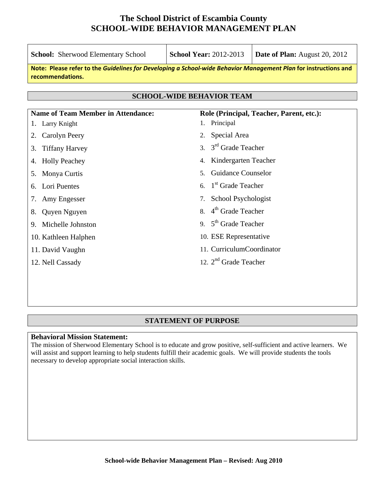| <b>School:</b> Sherwood Elementary School                                                                                           | <b>School Year: 2012-2013</b>            | <b>Date of Plan:</b> August 20, 2012     |
|-------------------------------------------------------------------------------------------------------------------------------------|------------------------------------------|------------------------------------------|
| Note: Please refer to the Guidelines for Developing a School-wide Behavior Management Plan for instructions and<br>recommendations. |                                          |                                          |
|                                                                                                                                     | <b>SCHOOL-WIDE BEHAVIOR TEAM</b>         |                                          |
|                                                                                                                                     |                                          |                                          |
| <b>Name of Team Member in Attendance:</b>                                                                                           |                                          | Role (Principal, Teacher, Parent, etc.): |
| Larry Knight<br>1.                                                                                                                  | 1. Principal                             |                                          |
| Carolyn Peery<br>2.                                                                                                                 | Special Area<br>2.                       |                                          |
| <b>Tiffany Harvey</b><br>3.                                                                                                         | 3. $3rd$ Grade Teacher                   |                                          |
| <b>Holly Peachey</b><br>4.                                                                                                          | Kindergarten Teacher<br>4.               |                                          |
| Monya Curtis<br>5.                                                                                                                  | <b>Guidance Counselor</b><br>$5^{\circ}$ |                                          |
| Lori Puentes<br>6.                                                                                                                  | 1 <sup>st</sup> Grade Teacher<br>6.      |                                          |
| Amy Engesser<br>7.                                                                                                                  | School Psychologist<br>7.                |                                          |
| Quyen Nguyen<br>8.                                                                                                                  | 4 <sup>th</sup> Grade Teacher<br>8.      |                                          |
| 9. Michelle Johnston                                                                                                                | 9. $5th$ Grade Teacher                   |                                          |
| 10. Kathleen Halphen                                                                                                                | 10. ESE Representative                   |                                          |
| 11. David Vaughn                                                                                                                    | 11. CurriculumCoordinator                |                                          |
| 12. Nell Cassady                                                                                                                    | 12. $2nd$ Grade Teacher                  |                                          |
|                                                                                                                                     |                                          |                                          |
|                                                                                                                                     |                                          |                                          |

#### **STATEMENT OF PURPOSE**

#### **Behavioral Mission Statement:**

The mission of Sherwood Elementary School is to educate and grow positive, self-sufficient and active learners. We will assist and support learning to help students fulfill their academic goals. We will provide students the tools necessary to develop appropriate social interaction skills.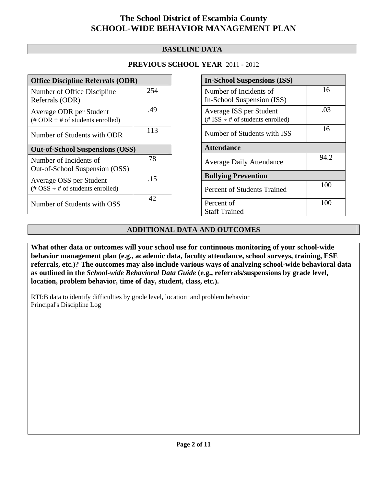## **BASELINE DATA**

## **PREVIOUS SCHOOL YEAR** 2011 - 2012

| <b>Office Discipline Referrals (ODR)</b>                                                        |     |
|-------------------------------------------------------------------------------------------------|-----|
| Number of Office Discipline<br>Referrals (ODR)                                                  | 254 |
| Average ODR per Student<br>$(\# ODR \div \# \text{ of students enrolled})$                      | .49 |
| Number of Students with ODR                                                                     | 113 |
| <b>Out-of-School Suspensions (OSS)</b>                                                          |     |
| Number of Incidents of<br>Out-of-School Suspension (OSS)                                        | 78  |
| Average OSS per Student<br>$(\text{\#} \text{OSS} \div \text{\#} \text{ of students enrolled})$ | .15 |
| Number of Students with OSS                                                                     | 42. |

| <b>In-School Suspensions (ISS)</b>                                 |      |
|--------------------------------------------------------------------|------|
| Number of Incidents of<br>In-School Suspension (ISS)               | 16   |
| Average ISS per Student<br>$(\# ISS \div \# of students enrolled)$ | .03  |
| Number of Students with ISS                                        | 16   |
| <b>Attendance</b>                                                  |      |
| <b>Average Daily Attendance</b>                                    | 94.2 |
| <b>Bullying Prevention</b>                                         |      |
| <b>Percent of Students Trained</b>                                 | 100  |
| Percent of<br><b>Staff Trained</b>                                 | 100  |

## **ADDITIONAL DATA AND OUTCOMES**

**What other data or outcomes will your school use for continuous monitoring of your school-wide behavior management plan (e.g., academic data, faculty attendance, school surveys, training, ESE referrals, etc.)? The outcomes may also include various ways of analyzing school-wide behavioral data as outlined in the** *School-wide Behavioral Data Guide* **(e.g., referrals/suspensions by grade level, location, problem behavior, time of day, student, class, etc.).**

RTI:B data to identify difficulties by grade level, location and problem behavior Principal's Discipline Log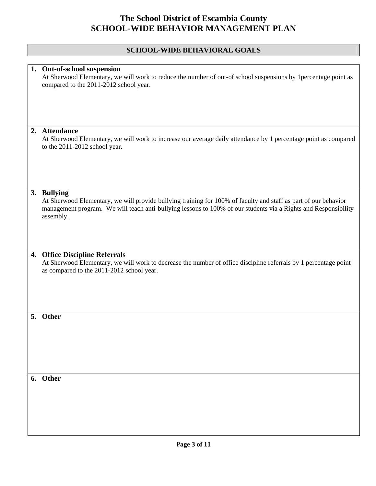# **SCHOOL-WIDE BEHAVIORAL GOALS**

| 1. Out-of-school suspension<br>At Sherwood Elementary, we will work to reduce the number of out-of school suspensions by 1percentage point as<br>compared to the 2011-2012 school year.                                                                        |
|----------------------------------------------------------------------------------------------------------------------------------------------------------------------------------------------------------------------------------------------------------------|
|                                                                                                                                                                                                                                                                |
|                                                                                                                                                                                                                                                                |
| 2. Attendance<br>At Sherwood Elementary, we will work to increase our average daily attendance by 1 percentage point as compared<br>to the 2011-2012 school year.                                                                                              |
|                                                                                                                                                                                                                                                                |
| 3. Bullying<br>At Sherwood Elementary, we will provide bullying training for 100% of faculty and staff as part of our behavior<br>management program. We will teach anti-bullying lessons to 100% of our students via a Rights and Responsibility<br>assembly. |
|                                                                                                                                                                                                                                                                |
| 4. Office Discipline Referrals                                                                                                                                                                                                                                 |
| At Sherwood Elementary, we will work to decrease the number of office discipline referrals by 1 percentage point<br>as compared to the 2011-2012 school year.                                                                                                  |
|                                                                                                                                                                                                                                                                |
|                                                                                                                                                                                                                                                                |
| 5. Other                                                                                                                                                                                                                                                       |
|                                                                                                                                                                                                                                                                |
|                                                                                                                                                                                                                                                                |
|                                                                                                                                                                                                                                                                |
| 6. Other                                                                                                                                                                                                                                                       |
|                                                                                                                                                                                                                                                                |
|                                                                                                                                                                                                                                                                |
|                                                                                                                                                                                                                                                                |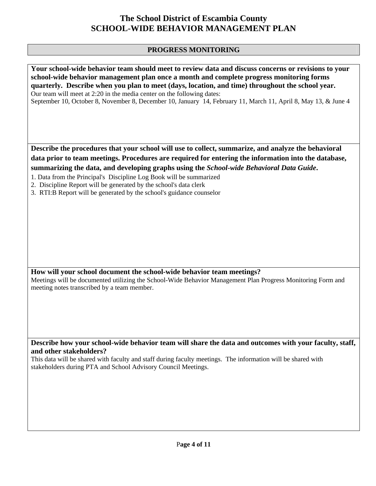# **PROGRESS MONITORING**

| Your school-wide behavior team should meet to review data and discuss concerns or revisions to your<br>school-wide behavior management plan once a month and complete progress monitoring forms<br>quarterly. Describe when you plan to meet (days, location, and time) throughout the school year.<br>Our team will meet at 2:20 in the media center on the following dates:<br>September 10, October 8, November 8, December 10, January 14, February 11, March 11, April 8, May 13, & June 4 |
|-------------------------------------------------------------------------------------------------------------------------------------------------------------------------------------------------------------------------------------------------------------------------------------------------------------------------------------------------------------------------------------------------------------------------------------------------------------------------------------------------|
|                                                                                                                                                                                                                                                                                                                                                                                                                                                                                                 |
| Describe the procedures that your school will use to collect, summarize, and analyze the behavioral                                                                                                                                                                                                                                                                                                                                                                                             |
| data prior to team meetings. Procedures are required for entering the information into the database,                                                                                                                                                                                                                                                                                                                                                                                            |
| summarizing the data, and developing graphs using the School-wide Behavioral Data Guide.<br>1. Data from the Principal's Discipline Log Book will be summarized                                                                                                                                                                                                                                                                                                                                 |
| 2. Discipline Report will be generated by the school's data clerk                                                                                                                                                                                                                                                                                                                                                                                                                               |
| 3. RTI:B Report will be generated by the school's guidance counselor                                                                                                                                                                                                                                                                                                                                                                                                                            |
|                                                                                                                                                                                                                                                                                                                                                                                                                                                                                                 |
|                                                                                                                                                                                                                                                                                                                                                                                                                                                                                                 |
|                                                                                                                                                                                                                                                                                                                                                                                                                                                                                                 |
|                                                                                                                                                                                                                                                                                                                                                                                                                                                                                                 |
|                                                                                                                                                                                                                                                                                                                                                                                                                                                                                                 |
|                                                                                                                                                                                                                                                                                                                                                                                                                                                                                                 |
|                                                                                                                                                                                                                                                                                                                                                                                                                                                                                                 |
| How will your school document the school-wide behavior team meetings?<br>Meetings will be documented utilizing the School-Wide Behavior Management Plan Progress Monitoring Form and<br>meeting notes transcribed by a team member.                                                                                                                                                                                                                                                             |
|                                                                                                                                                                                                                                                                                                                                                                                                                                                                                                 |
|                                                                                                                                                                                                                                                                                                                                                                                                                                                                                                 |
|                                                                                                                                                                                                                                                                                                                                                                                                                                                                                                 |
|                                                                                                                                                                                                                                                                                                                                                                                                                                                                                                 |
|                                                                                                                                                                                                                                                                                                                                                                                                                                                                                                 |
| Describe how your school-wide behavior team will share the data and outcomes with your faculty, staff,<br>and other stakeholders?                                                                                                                                                                                                                                                                                                                                                               |
| This data will be shared with faculty and staff during faculty meetings. The information will be shared with<br>stakeholders during PTA and School Advisory Council Meetings.                                                                                                                                                                                                                                                                                                                   |
|                                                                                                                                                                                                                                                                                                                                                                                                                                                                                                 |
|                                                                                                                                                                                                                                                                                                                                                                                                                                                                                                 |
|                                                                                                                                                                                                                                                                                                                                                                                                                                                                                                 |
|                                                                                                                                                                                                                                                                                                                                                                                                                                                                                                 |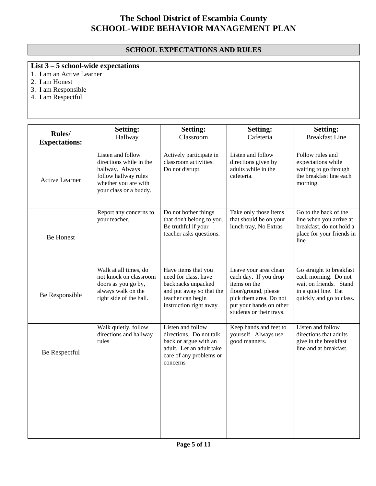## **SCHOOL EXPECTATIONS AND RULES**

# **List 3 – 5 school-wide expectations**

- 1. I am an Active Learner
- 2. I am Honest
- 3. I am Responsible
- 4. I am Respectful

| Rules/<br><b>Expectations:</b> | <b>Setting:</b><br>Hallway                                                                                                                | <b>Setting:</b><br>Classroom                                                                                                                 | <b>Setting:</b><br>Cafeteria                                                                                                                                            | <b>Setting:</b><br><b>Breakfast Line</b>                                                                                       |
|--------------------------------|-------------------------------------------------------------------------------------------------------------------------------------------|----------------------------------------------------------------------------------------------------------------------------------------------|-------------------------------------------------------------------------------------------------------------------------------------------------------------------------|--------------------------------------------------------------------------------------------------------------------------------|
| <b>Active Learner</b>          | Listen and follow<br>directions while in the<br>hallway. Always<br>follow hallway rules<br>whether you are with<br>your class or a buddy. | Actively participate in<br>classroom activities.<br>Do not disrupt.                                                                          | Listen and follow<br>directions given by<br>adults while in the<br>cafeteria.                                                                                           | Follow rules and<br>expectations while<br>waiting to go through<br>the breakfast line each<br>morning.                         |
| <b>Be Honest</b>               | Report any concerns to<br>your teacher.                                                                                                   | Do not bother things<br>that don't belong to you.<br>Be truthful if your<br>teacher asks questions.                                          | Take only those items<br>that should be on your<br>lunch tray, No Extras                                                                                                | Go to the back of the<br>line when you arrive at<br>breakfast, do not hold a<br>place for your friends in<br>line              |
| Be Responsible                 | Walk at all times, do<br>not knock on classroom<br>doors as you go by,<br>always walk on the<br>right side of the hall.                   | Have items that you<br>need for class, have<br>backpacks unpacked<br>and put away so that the<br>teacher can begin<br>instruction right away | Leave your area clean<br>each day. If you drop<br>items on the<br>floor/ground, please<br>pick them area. Do not<br>put your hands on other<br>students or their trays. | Go straight to breakfast<br>each morning. Do not<br>wait on friends. Stand<br>in a quiet line. Eat<br>quickly and go to class. |
| Be Respectful                  | Walk quietly, follow<br>directions and hallway<br>rules                                                                                   | Listen and follow<br>directions. Do not talk<br>back or argue with an<br>adult. Let an adult take<br>care of any problems or<br>concerns     | Keep hands and feet to<br>yourself. Always use<br>good manners.                                                                                                         | Listen and follow<br>directions that adults<br>give in the breakfast<br>line and at breakfast.                                 |
|                                |                                                                                                                                           |                                                                                                                                              |                                                                                                                                                                         |                                                                                                                                |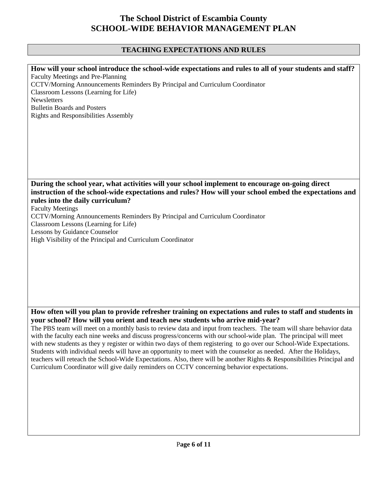## **TEACHING EXPECTATIONS AND RULES**

**How will your school introduce the school-wide expectations and rules to all of your students and staff?**  Faculty Meetings and Pre-Planning CCTV/Morning Announcements Reminders By Principal and Curriculum Coordinator Classroom Lessons (Learning for Life) **Newsletters** Bulletin Boards and Posters Rights and Responsibilities Assembly **During the school year, what activities will your school implement to encourage on-going direct instruction of the school-wide expectations and rules? How will your school embed the expectations and rules into the daily curriculum?**  Faculty Meetings CCTV/Morning Announcements Reminders By Principal and Curriculum Coordinator Classroom Lessons (Learning for Life) Lessons by Guidance Counselor High Visibility of the Principal and Curriculum Coordinator

**How often will you plan to provide refresher training on expectations and rules to staff and students in your school? How will you orient and teach new students who arrive mid-year?** 

The PBS team will meet on a monthly basis to review data and input from teachers. The team will share behavior data with the faculty each nine weeks and discuss progress/concerns with our school-wide plan. The principal will meet with new students as they y register or within two days of them registering to go over our School-Wide Expectations. Students with individual needs will have an opportunity to meet with the counselor as needed. After the Holidays, teachers will reteach the School-Wide Expectations. Also, there will be another Rights & Responsibilities Principal and Curriculum Coordinator will give daily reminders on CCTV concerning behavior expectations.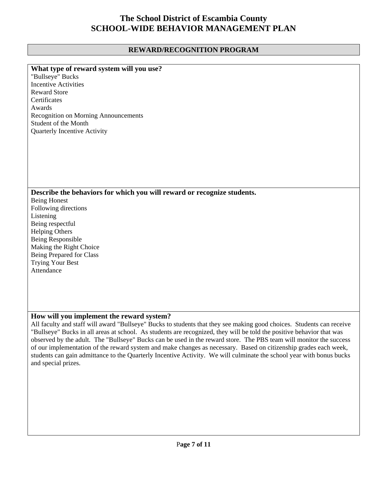## **REWARD/RECOGNITION PROGRAM**

| What type of reward system will you use?                                                                              |
|-----------------------------------------------------------------------------------------------------------------------|
| "Bullseye" Bucks                                                                                                      |
| <b>Incentive Activities</b>                                                                                           |
| <b>Reward Store</b>                                                                                                   |
| Certificates                                                                                                          |
| Awards                                                                                                                |
|                                                                                                                       |
| <b>Recognition on Morning Announcements</b>                                                                           |
| Student of the Month                                                                                                  |
| Quarterly Incentive Activity                                                                                          |
|                                                                                                                       |
|                                                                                                                       |
|                                                                                                                       |
|                                                                                                                       |
|                                                                                                                       |
|                                                                                                                       |
|                                                                                                                       |
| Describe the behaviors for which you will reward or recognize students.                                               |
| <b>Being Honest</b>                                                                                                   |
| Following directions                                                                                                  |
| Listening                                                                                                             |
| Being respectful                                                                                                      |
| <b>Helping Others</b>                                                                                                 |
| Being Responsible                                                                                                     |
|                                                                                                                       |
| Making the Right Choice                                                                                               |
| Being Prepared for Class                                                                                              |
| <b>Trying Your Best</b>                                                                                               |
| Attendance                                                                                                            |
|                                                                                                                       |
|                                                                                                                       |
|                                                                                                                       |
|                                                                                                                       |
|                                                                                                                       |
| How will you implement the reward system?                                                                             |
| All faculty and staff will award "Bullseye" Bucks to students that they see making good choices. Students can receive |
| "Bullseye" Bucks in all areas at school. As students are recognized, they will be told the positive behavior that was |
| observed by the adult. The "Bullseve" Bucks can be used in the reward store. The PRS team will monitor the success    |

he adult. The "Bullseye" Bucks can be used in the reward store. The PBS team will monitor the success of our implementation of the reward system and make changes as necessary. Based on citizenship grades each week, students can gain admittance to the Quarterly Incentive Activity. We will culminate the school year with bonus bucks and special prizes.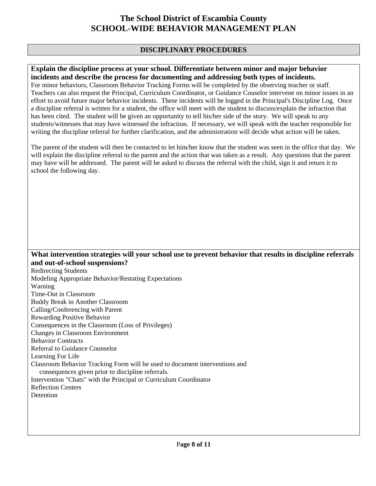## **DISCIPLINARY PROCEDURES**

#### **Explain the discipline process at your school. Differentiate between minor and major behavior incidents and describe the process for documenting and addressing both types of incidents.**

For minor behaviors, Classroom Behavior Tracking Forms will be completed by the observing teacher or staff. Teachers can also request the Principal, Curriculum Coordinator, or Guidance Couselor intervene on minor issues in an effort to avoid future major behavior incidents. These incidents will be logged in the Principal's Discipline Log. Once a discipline referral is written for a student, the office will meet with the student to discuss/explain the infraction that has been cited. The student will be given an opportunity to tell his/her side of the story. We will speak to any students/witnesses that may have witnessed the infraction. If necessary, we will speak with the teacher responsible for writing the discipline referral for further clarification, and the administration will decide what action will be taken.

The parent of the student will then be contacted to let him/her know that the student was seen in the office that day. We will explain the discipline referral to the parent and the action that was taken as a result. Any questions that the parent may have will be addressed. The parent will be asked to discuss the referral with the child, sign it and return it to school the following day.

#### **What intervention strategies will your school use to prevent behavior that results in discipline referrals and out-of-school suspensions?**

Redirecting Students Modeling Appropriate Behavior/Restating Expectations Warning Time-Out in Classroom Buddy Break in Another Classroom Calling/Conferencing with Parent Rewarding Positive Behavior Consequences in the Classroom (Loss of Privileges) Changes in Classroom Environment Behavior Contracts Referral to Guidance Counselor Learning For Life Classroom Behavior Tracking Form will be used to document interventions and consequences given prior to discipline referrals. Intervention "Chats" with the Principal or Curriculum Coordinator Reflection Centers Detention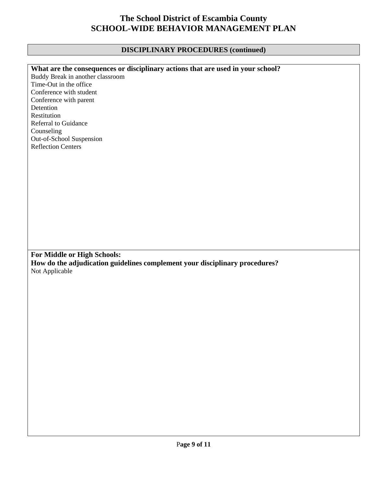## **DISCIPLINARY PROCEDURES (continued)**

| What are the consequences or disciplinary actions that are used in your school? |
|---------------------------------------------------------------------------------|
| Buddy Break in another classroom                                                |
| Time-Out in the office                                                          |
| Conference with student                                                         |
| Conference with parent                                                          |
| Detention                                                                       |
| Restitution                                                                     |
| <b>Referral to Guidance</b>                                                     |
| Counseling                                                                      |
| Out-of-School Suspension                                                        |
| <b>Reflection Centers</b>                                                       |
|                                                                                 |
|                                                                                 |
|                                                                                 |
|                                                                                 |
|                                                                                 |
|                                                                                 |
|                                                                                 |
|                                                                                 |
|                                                                                 |
|                                                                                 |
|                                                                                 |
|                                                                                 |
|                                                                                 |
| For Middle or High Schools:                                                     |
|                                                                                 |
| How do the adjudication guidelines complement your disciplinary procedures?     |
| Not Applicable                                                                  |
|                                                                                 |
|                                                                                 |
|                                                                                 |
|                                                                                 |
|                                                                                 |
|                                                                                 |
|                                                                                 |
|                                                                                 |
|                                                                                 |
|                                                                                 |
|                                                                                 |
|                                                                                 |
|                                                                                 |
|                                                                                 |
|                                                                                 |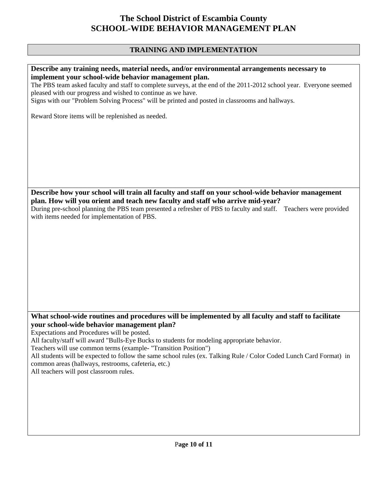## **TRAINING AND IMPLEMENTATION**

#### **Describe any training needs, material needs, and/or environmental arrangements necessary to implement your school-wide behavior management plan.**

The PBS team asked faculty and staff to complete surveys, at the end of the 2011-2012 school year. Everyone seemed pleased with our progress and wished to continue as we have.

Signs with our "Problem Solving Process" will be printed and posted in classrooms and hallways.

Reward Store items will be replenished as needed.

**Describe how your school will train all faculty and staff on your school-wide behavior management plan. How will you orient and teach new faculty and staff who arrive mid-year?** 

During pre-school planning the PBS team presented a refresher of PBS to faculty and staff. Teachers were provided with items needed for implementation of PBS.

## **What school-wide routines and procedures will be implemented by all faculty and staff to facilitate your school-wide behavior management plan?**

Expectations and Procedures will be posted.

All faculty/staff will award "Bulls-Eye Bucks to students for modeling appropriate behavior.

Teachers will use common terms (example- "Transition Position")

All students will be expected to follow the same school rules (ex. Talking Rule / Color Coded Lunch Card Format) in common areas (hallways, restrooms, cafeteria, etc.)

All teachers will post classroom rules.